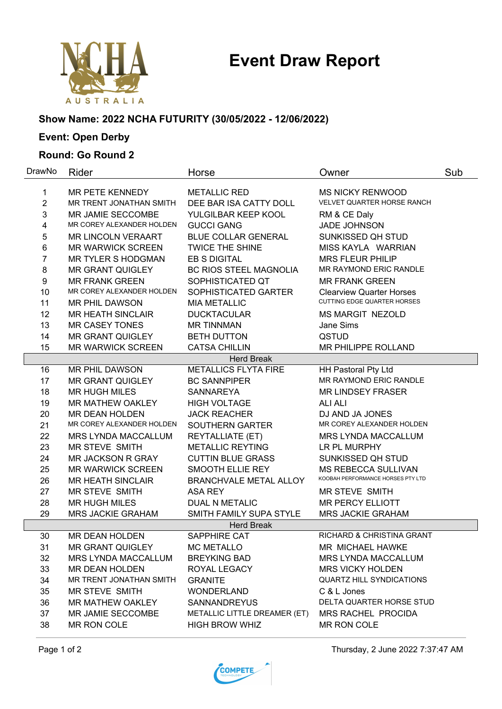# **Event Draw Report**



### **Show Name: 2022 NCHA FUTURITY (30/05/2022 - 12/06/2022)**

## **Event: Open Derby**

#### **Round: Go Round 2**

| DrawNo            | Rider                                                 | Horse                             | Owner                                                           | Sub |  |  |  |
|-------------------|-------------------------------------------------------|-----------------------------------|-----------------------------------------------------------------|-----|--|--|--|
| 1                 | MR PETE KENNEDY                                       | <b>METALLIC RED</b>               | <b>MS NICKY RENWOOD</b>                                         |     |  |  |  |
| $\overline{2}$    | MR TRENT JONATHAN SMITH                               | DEE BAR ISA CATTY DOLL            | VELVET QUARTER HORSE RANCH                                      |     |  |  |  |
| 3                 | MR JAMIE SECCOMBE                                     | YULGILBAR KEEP KOOL               | RM & CE Daly                                                    |     |  |  |  |
| 4                 | MR COREY ALEXANDER HOLDEN                             | <b>GUCCI GANG</b>                 | <b>JADE JOHNSON</b>                                             |     |  |  |  |
| 5                 | <b>MR LINCOLN VERAART</b>                             | <b>BLUE COLLAR GENERAL</b>        | SUNKISSED QH STUD                                               |     |  |  |  |
| 6                 | <b>MR WARWICK SCREEN</b>                              | <b>TWICE THE SHINE</b>            | MISS KAYLA WARRIAN                                              |     |  |  |  |
| $\overline{7}$    | <b>MR TYLER S HODGMAN</b>                             | <b>EB S DIGITAL</b>               | <b>MRS FLEUR PHILIP</b>                                         |     |  |  |  |
| 8                 | <b>MR GRANT QUIGLEY</b>                               | <b>BC RIOS STEEL MAGNOLIA</b>     | MR RAYMOND ERIC RANDLE                                          |     |  |  |  |
| 9                 | <b>MR FRANK GREEN</b>                                 | SOPHISTICATED QT                  | <b>MR FRANK GREEN</b>                                           |     |  |  |  |
| 10                | MR COREY ALEXANDER HOLDEN                             | SOPHISTICATED GARTER              | <b>Clearview Quarter Horses</b>                                 |     |  |  |  |
| 11                | MR PHIL DAWSON                                        | <b>MIA METALLIC</b>               | <b>CUTTING EDGE QUARTER HORSES</b>                              |     |  |  |  |
| 12                | <b>MR HEATH SINCLAIR</b>                              | <b>DUCKTACULAR</b>                | <b>MS MARGIT NEZOLD</b>                                         |     |  |  |  |
| 13                | <b>MR CASEY TONES</b>                                 | <b>MR TINNMAN</b>                 | Jane Sims                                                       |     |  |  |  |
| 14                | <b>MR GRANT QUIGLEY</b>                               | <b>BETH DUTTON</b>                | QSTUD                                                           |     |  |  |  |
| 15                | <b>MR WARWICK SCREEN</b>                              | <b>CATSA CHILLIN</b>              | MR PHILIPPE ROLLAND                                             |     |  |  |  |
|                   |                                                       | <b>Herd Break</b>                 |                                                                 |     |  |  |  |
| 16                | MR PHIL DAWSON                                        | <b>METALLICS FLYTA FIRE</b>       | <b>HH Pastoral Pty Ltd</b>                                      |     |  |  |  |
| 17                | <b>MR GRANT QUIGLEY</b>                               | <b>BC SANNPIPER</b>               | MR RAYMOND ERIC RANDLE                                          |     |  |  |  |
| 18                | <b>MR HUGH MILES</b>                                  | <b>SANNAREYA</b>                  | <b>MR LINDSEY FRASER</b>                                        |     |  |  |  |
| 19                | MR MATHEW OAKLEY                                      | <b>HIGH VOLTAGE</b>               | <b>ALI ALI</b>                                                  |     |  |  |  |
| 20                | <b>MR DEAN HOLDEN</b>                                 | <b>JACK REACHER</b>               | DJ AND JA JONES                                                 |     |  |  |  |
| 21                | MR COREY ALEXANDER HOLDEN                             | SOUTHERN GARTER                   | MR COREY ALEXANDER HOLDEN                                       |     |  |  |  |
| 22                | <b>MRS LYNDA MACCALLUM</b>                            | <b>REYTALLIATE (ET)</b>           | MRS LYNDA MACCALLUM                                             |     |  |  |  |
| 23                | MR STEVE SMITH                                        | <b>METALLIC REYTING</b>           | LR PL MURPHY                                                    |     |  |  |  |
| 24                | MR JACKSON R GRAY                                     | <b>CUTTIN BLUE GRASS</b>          | SUNKISSED QH STUD                                               |     |  |  |  |
| 25                | <b>MR WARWICK SCREEN</b>                              | SMOOTH ELLIE REY                  | <b>MS REBECCA SULLIVAN</b><br>KOOBAH PERFORMANCE HORSES PTY LTD |     |  |  |  |
| 26                | <b>MR HEATH SINCLAIR</b>                              | <b>BRANCHVALE METAL ALLOY</b>     |                                                                 |     |  |  |  |
| 27                | MR STEVE SMITH                                        | ASA REY                           | MR STEVE SMITH                                                  |     |  |  |  |
| 28                | <b>MR HUGH MILES</b>                                  | <b>DUAL N METALIC</b>             | <b>MR PERCY ELLIOTT</b>                                         |     |  |  |  |
| 29                | <b>MRS JACKIE GRAHAM</b>                              | SMITH FAMILY SUPA STYLE           | <b>MRS JACKIE GRAHAM</b>                                        |     |  |  |  |
| <b>Herd Break</b> |                                                       |                                   |                                                                 |     |  |  |  |
| 30                | <b>MR DEAN HOLDEN</b>                                 | <b>SAPPHIRE CAT</b>               | RICHARD & CHRISTINA GRANT                                       |     |  |  |  |
| 31<br>32          | <b>MR GRANT QUIGLEY</b><br><b>MRS LYNDA MACCALLUM</b> | MC METALLO<br><b>BREYKING BAD</b> | MR MICHAEL HAWKE<br><b>MRS LYNDA MACCALLUM</b>                  |     |  |  |  |
| 33                | <b>MR DEAN HOLDEN</b>                                 | ROYAL LEGACY                      | <b>MRS VICKY HOLDEN</b>                                         |     |  |  |  |
| 34                | MR TRENT JONATHAN SMITH                               | <b>GRANITE</b>                    | <b>QUARTZ HILL SYNDICATIONS</b>                                 |     |  |  |  |
| 35                | MR STEVE SMITH                                        | <b>WONDERLAND</b>                 | C & L Jones                                                     |     |  |  |  |
| 36                | <b>MR MATHEW OAKLEY</b>                               | <b>SANNANDREYUS</b>               | DELTA QUARTER HORSE STUD                                        |     |  |  |  |
| 37                | MR JAMIE SECCOMBE                                     | METALLIC LITTLE DREAMER (ET)      | MRS RACHEL PROCIDA                                              |     |  |  |  |
| 38                | MR RON COLE                                           | <b>HIGH BROW WHIZ</b>             | MR RON COLE                                                     |     |  |  |  |
|                   |                                                       |                                   |                                                                 |     |  |  |  |